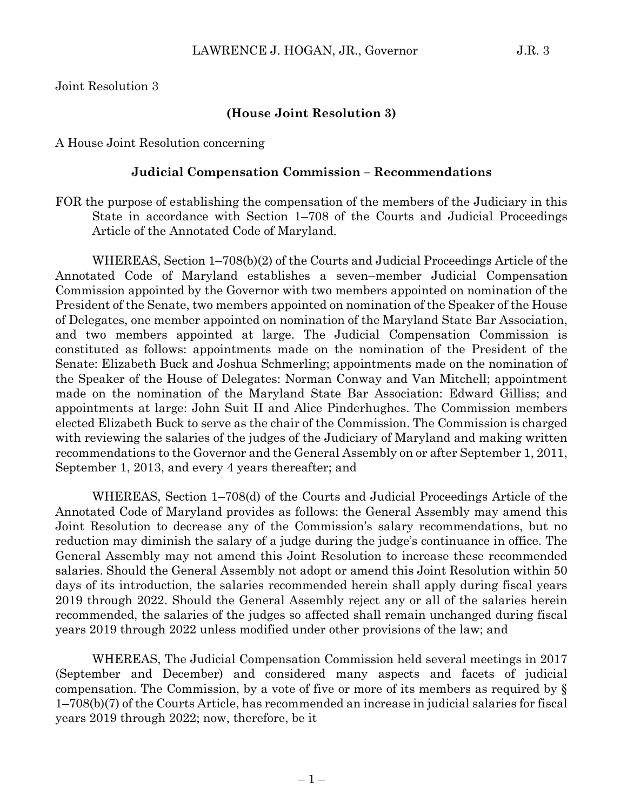Joint Resolution 3

### **(House Joint Resolution 3)**

A House Joint Resolution concerning

#### **Judicial Compensation Commission – Recommendations**

FOR the purpose of establishing the compensation of the members of the Judiciary in this State in accordance with Section 1–708 of the Courts and Judicial Proceedings Article of the Annotated Code of Maryland.

WHEREAS, Section 1–708(b)(2) of the Courts and Judicial Proceedings Article of the Annotated Code of Maryland establishes a seven–member Judicial Compensation Commission appointed by the Governor with two members appointed on nomination of the President of the Senate, two members appointed on nomination of the Speaker of the House of Delegates, one member appointed on nomination of the Maryland State Bar Association, and two members appointed at large. The Judicial Compensation Commission is constituted as follows: appointments made on the nomination of the President of the Senate: Elizabeth Buck and Joshua Schmerling; appointments made on the nomination of the Speaker of the House of Delegates: Norman Conway and Van Mitchell; appointment made on the nomination of the Maryland State Bar Association: Edward Gilliss; and appointments at large: John Suit II and Alice Pinderhughes. The Commission members elected Elizabeth Buck to serve as the chair of the Commission. The Commission is charged with reviewing the salaries of the judges of the Judiciary of Maryland and making written recommendations to the Governor and the General Assembly on or after September 1, 2011, September 1, 2013, and every 4 years thereafter; and

WHEREAS, Section 1–708(d) of the Courts and Judicial Proceedings Article of the Annotated Code of Maryland provides as follows: the General Assembly may amend this Joint Resolution to decrease any of the Commission's salary recommendations, but no reduction may diminish the salary of a judge during the judge's continuance in office. The General Assembly may not amend this Joint Resolution to increase these recommended salaries. Should the General Assembly not adopt or amend this Joint Resolution within 50 days of its introduction, the salaries recommended herein shall apply during fiscal years 2019 through 2022. Should the General Assembly reject any or all of the salaries herein recommended, the salaries of the judges so affected shall remain unchanged during fiscal years 2019 through 2022 unless modified under other provisions of the law; and

WHEREAS, The Judicial Compensation Commission held several meetings in 2017 (September and December) and considered many aspects and facets of judicial compensation. The Commission, by a vote of five or more of its members as required by  $\S$ 1–708(b)(7) of the Courts Article, has recommended an increase in judicial salaries for fiscal years 2019 through 2022; now, therefore, be it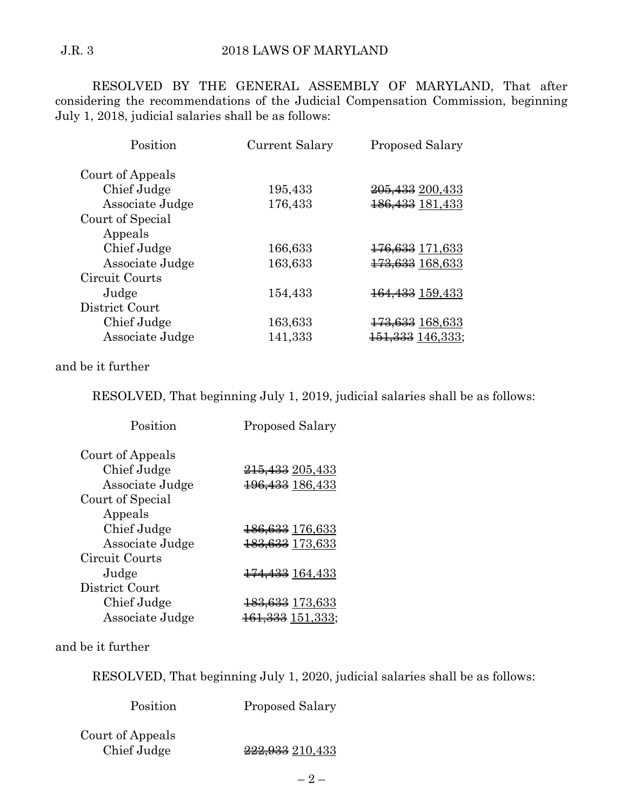RESOLVED BY THE GENERAL ASSEMBLY OF MARYLAND, That after considering the recommendations of the Judicial Compensation Commission, beginning July 1, 2018, judicial salaries shall be as follows:

| Position         | Current Salary | <b>Proposed Salary</b>       |
|------------------|----------------|------------------------------|
| Court of Appeals |                |                              |
| Chief Judge      | 195,433        | <del>205, 133</del> 200, 433 |
| Associate Judge  | 176,433        | 186, 433 181, 433            |
| Court of Special |                |                              |
| Appeals          |                |                              |
| Chief Judge      | 166,633        | <del>176,633</del> 171,633   |
| Associate Judge  | 163,633        | 173,633 168,633              |
| Circuit Courts   |                |                              |
| Judge            | 154,433        | <del>164,433</del> 159,433   |
| District Court   |                |                              |
| Chief Judge      | 163,633        | <del>173,633</del> 168,633   |
| Associate Judge  | 141,333        | <del>151,333</del> 146,333;  |

# and be it further

RESOLVED, That beginning July 1, 2019, judicial salaries shall be as follows:

| Position         | <b>Proposed Salary</b>       |
|------------------|------------------------------|
| Court of Appeals |                              |
| Chief Judge      | <del>215,433</del> 205,433   |
| Associate Judge  | <del>196, 133</del> 186, 433 |
| Court of Special |                              |
| Appeals          |                              |
| Chief Judge      | <del>186,633</del> 176,633   |
| Associate Judge  | <del>183,633</del> 173,633   |
| Circuit Courts   |                              |
| Judge            | <del>174,433</del> 164,433   |
| District Court   |                              |
| Chief Judge      | <del>183,633</del> 173,633   |
| Associate Judge  | <del>161,333</del> 151,333;  |

### and be it further

RESOLVED, That beginning July 1, 2020, judicial salaries shall be as follows:

| Position                        | <b>Proposed Salary</b> |
|---------------------------------|------------------------|
| Court of Appeals<br>Chief Judge | 222,933 210,433        |